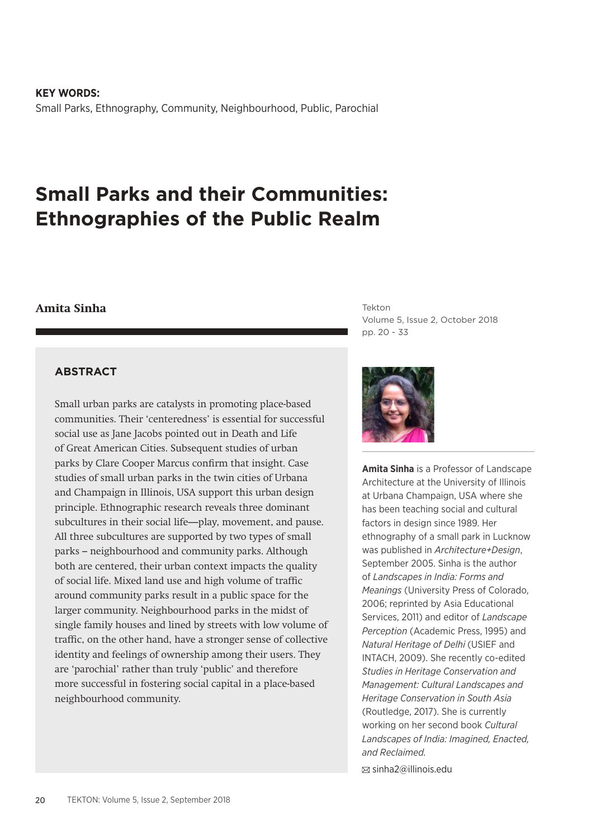**KEY WORDS:** Small Parks, Ethnography, Community, Neighbourhood, Public, Parochial

# **Small Parks and their Communities: Ethnographies of the Public Realm**

### **Amita Sinha**

**ABSTRACT**

Small urban parks are catalysts in promoting place-based communities. Their 'centeredness' is essential for successful social use as Jane Jacobs pointed out in Death and Life of Great American Cities. Subsequent studies of urban parks by Clare Cooper Marcus confirm that insight. Case studies of small urban parks in the twin cities of Urbana and Champaign in Illinois, USA support this urban design principle. Ethnographic research reveals three dominant subcultures in their social life—play, movement, and pause. All three subcultures are supported by two types of small parks – neighbourhood and community parks. Although both are centered, their urban context impacts the quality of social life. Mixed land use and high volume of traffic around community parks result in a public space for the larger community. Neighbourhood parks in the midst of single family houses and lined by streets with low volume of traffic, on the other hand, have a stronger sense of collective identity and feelings of ownership among their users. They are 'parochial' rather than truly 'public' and therefore more successful in fostering social capital in a place-based neighbourhood community.

Tekton Volume 5, Issue 2, October 2018 pp. 20 - 33



**Amita Sinha** is a Professor of Landscape Architecture at the University of Illinois at Urbana Champaign, USA where she has been teaching social and cultural factors in design since 1989. Her ethnography of a small park in Lucknow was published in *Architecture+Design*, September 2005. Sinha is the author of *Landscapes in India: Forms and Meanings* (University Press of Colorado, 2006; reprinted by Asia Educational Services, 2011) and editor of *Landscape Perception* (Academic Press, 1995) and *Natural Heritage of Delhi* (USIEF and INTACH, 2009). She recently co-edited *Studies in Heritage Conservation and Management: Cultural Landscapes and Heritage Conservation in South Asia* (Routledge, 2017). She is currently working on her second book *Cultural Landscapes of India: Imagined, Enacted, and Reclaimed.*

sinha2@illinois.edu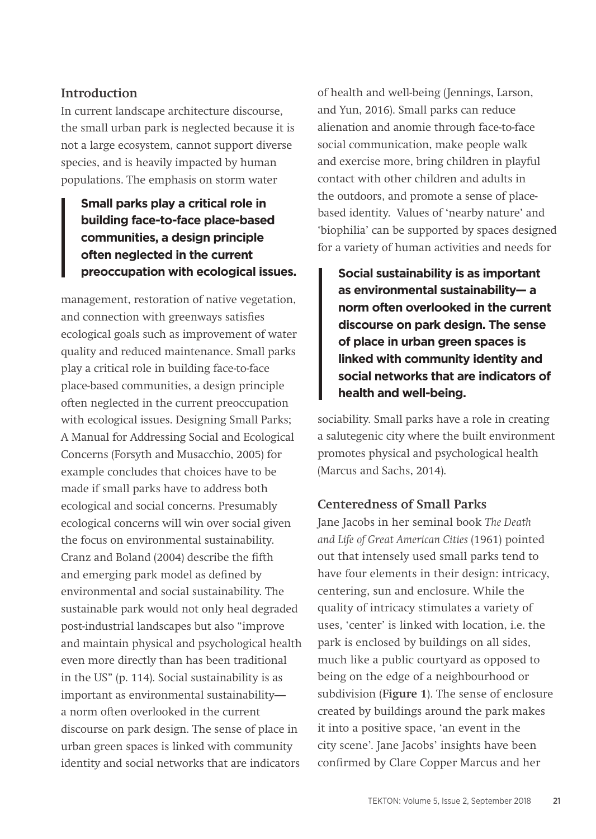### **Introduction**

In current landscape architecture discourse, the small urban park is neglected because it is not a large ecosystem, cannot support diverse species, and is heavily impacted by human populations. The emphasis on storm water

## **Small parks play a critical role in building face-to-face place-based communities, a design principle often neglected in the current**

management, restoration of native vegetation, and connection with greenways satisfies ecological goals such as improvement of water quality and reduced maintenance. Small parks play a critical role in building face-to-face place-based communities, a design principle often neglected in the current preoccupation with ecological issues. Designing Small Parks; A Manual for Addressing Social and Ecological Concerns (Forsyth and Musacchio, 2005) for example concludes that choices have to be made if small parks have to address both ecological and social concerns. Presumably ecological concerns will win over social given the focus on environmental sustainability. Cranz and Boland (2004) describe the fifth and emerging park model as defined by environmental and social sustainability. The sustainable park would not only heal degraded post-industrial landscapes but also "improve and maintain physical and psychological health even more directly than has been traditional in the US" (p. 114). Social sustainability is as important as environmental sustainability a norm often overlooked in the current discourse on park design. The sense of place in urban green spaces is linked with community identity and social networks that are indicators

of health and well-being (Jennings, Larson, and Yun, 2016). Small parks can reduce alienation and anomie through face-to-face social communication, make people walk and exercise more, bring children in playful contact with other children and adults in the outdoors, and promote a sense of placebased identity. Values of 'nearby nature' and 'biophilia' can be supported by spaces designed for a variety of human activities and needs for

**preoccupation with ecological issues.** Social sustainability is as important **as environmental sustainability— a norm often overlooked in the current discourse on park design. The sense of place in urban green spaces is linked with community identity and social networks that are indicators of health and well-being.**

> sociability. Small parks have a role in creating a salutegenic city where the built environment promotes physical and psychological health (Marcus and Sachs, 2014).

### **Centeredness of Small Parks**

Jane Jacobs in her seminal book *The Death and Life of Great American Cities* (1961) pointed out that intensely used small parks tend to have four elements in their design: intricacy, centering, sun and enclosure. While the quality of intricacy stimulates a variety of uses, 'center' is linked with location, i.e. the park is enclosed by buildings on all sides, much like a public courtyard as opposed to being on the edge of a neighbourhood or subdivision (**Figure 1**). The sense of enclosure created by buildings around the park makes it into a positive space, 'an event in the city scene'. Jane Jacobs' insights have been confirmed by Clare Copper Marcus and her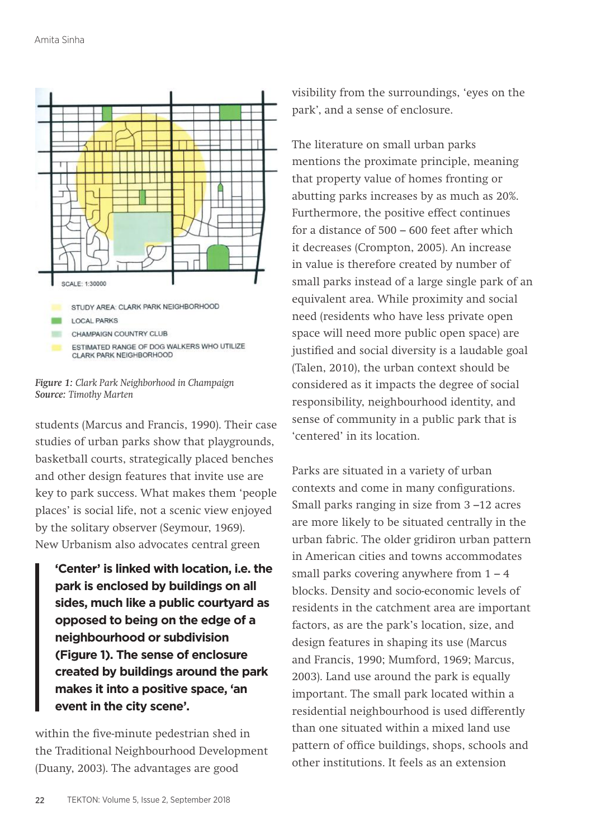

*Figure 1: Clark Park Neighborhood in Champaign Source: Timothy Marten*

students (Marcus and Francis, 1990). Their case studies of urban parks show that playgrounds, basketball courts, strategically placed benches and other design features that invite use are key to park success. What makes them 'people places' is social life, not a scenic view enjoyed by the solitary observer (Seymour, 1969). New Urbanism also advocates central green

**'Center' is linked with location, i.e. the park is enclosed by buildings on all sides, much like a public courtyard as opposed to being on the edge of a neighbourhood or subdivision (Figure 1). The sense of enclosure created by buildings around the park makes it into a positive space, 'an event in the city scene'.**

within the five-minute pedestrian shed in the Traditional Neighbourhood Development (Duany, 2003). The advantages are good

visibility from the surroundings, 'eyes on the park', and a sense of enclosure.

The literature on small urban parks mentions the proximate principle, meaning that property value of homes fronting or abutting parks increases by as much as 20%. Furthermore, the positive effect continues for a distance of 500 – 600 feet after which it decreases (Crompton, 2005). An increase in value is therefore created by number of small parks instead of a large single park of an equivalent area. While proximity and social need (residents who have less private open space will need more public open space) are justified and social diversity is a laudable goal (Talen, 2010), the urban context should be considered as it impacts the degree of social responsibility, neighbourhood identity, and sense of community in a public park that is 'centered' in its location.

Parks are situated in a variety of urban contexts and come in many configurations. Small parks ranging in size from 3 –12 acres are more likely to be situated centrally in the urban fabric. The older gridiron urban pattern in American cities and towns accommodates small parks covering anywhere from  $1 - 4$ blocks. Density and socio-economic levels of residents in the catchment area are important factors, as are the park's location, size, and design features in shaping its use (Marcus and Francis, 1990; Mumford, 1969; Marcus, 2003). Land use around the park is equally important. The small park located within a residential neighbourhood is used differently than one situated within a mixed land use pattern of office buildings, shops, schools and other institutions. It feels as an extension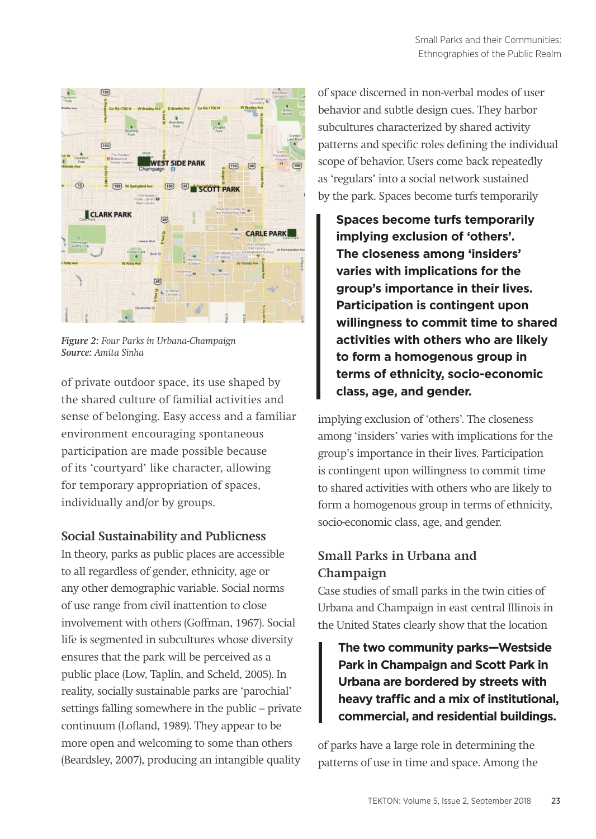

*Figure 2: Four Parks in Urbana-Champaign Source: Amita Sinha*

of private outdoor space, its use shaped by the shared culture of familial activities and sense of belonging. Easy access and a familiar environment encouraging spontaneous participation are made possible because of its 'courtyard' like character, allowing for temporary appropriation of spaces, individually and/or by groups.

### **Social Sustainability and Publicness**

In theory, parks as public places are accessible to all regardless of gender, ethnicity, age or any other demographic variable. Social norms of use range from civil inattention to close involvement with others (Goffman, 1967). Social life is segmented in subcultures whose diversity ensures that the park will be perceived as a public place (Low, Taplin, and Scheld, 2005). In reality, socially sustainable parks are 'parochial' settings falling somewhere in the public – private continuum (Lofland, 1989). They appear to be more open and welcoming to some than others (Beardsley, 2007), producing an intangible quality of space discerned in non-verbal modes of user behavior and subtle design cues. They harbor subcultures characterized by shared activity patterns and specific roles defining the individual scope of behavior. Users come back repeatedly as 'regulars' into a social network sustained by the park. Spaces become turfs temporarily

**Spaces become turfs temporarily implying exclusion of 'others'. The closeness among 'insiders' varies with implications for the group's importance in their lives. Participation is contingent upon willingness to commit time to shared activities with others who are likely to form a homogenous group in terms of ethnicity, socio-economic class, age, and gender.**

implying exclusion of 'others'. The closeness among 'insiders' varies with implications for the group's importance in their lives. Participation is contingent upon willingness to commit time to shared activities with others who are likely to form a homogenous group in terms of ethnicity, socio-economic class, age, and gender.

### **Small Parks in Urbana and Champaign**

Case studies of small parks in the twin cities of Urbana and Champaign in east central Illinois in the United States clearly show that the location

**The two community parks—Westside Park in Champaign and Scott Park in Urbana are bordered by streets with heavy traffic and a mix of institutional, commercial, and residential buildings.** 

of parks have a large role in determining the patterns of use in time and space. Among the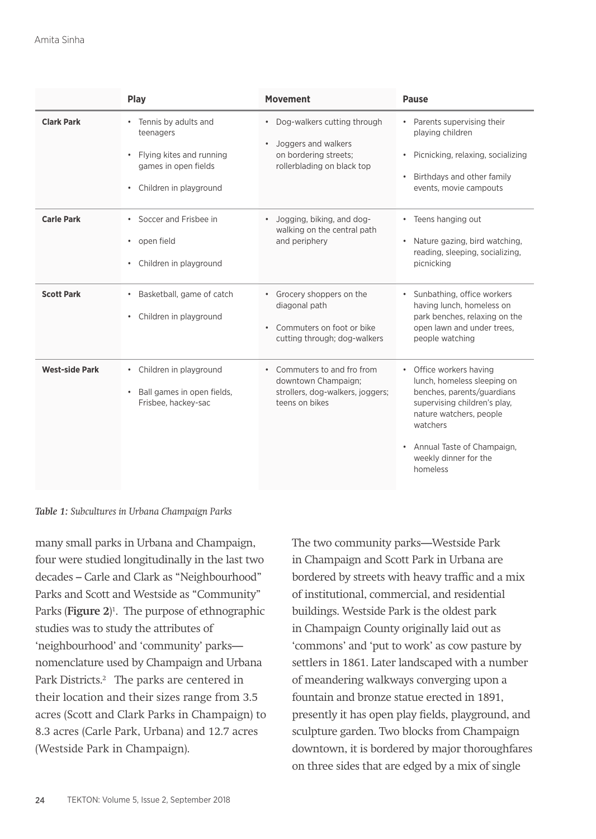|                       | Play                                                                                                                           | <b>Movement</b>                                                                                             | <b>Pause</b>                                                                                                                                                                                                                              |
|-----------------------|--------------------------------------------------------------------------------------------------------------------------------|-------------------------------------------------------------------------------------------------------------|-------------------------------------------------------------------------------------------------------------------------------------------------------------------------------------------------------------------------------------------|
| <b>Clark Park</b>     | Tennis by adults and<br>٠<br>teenagers<br>Flying kites and running<br>٠<br>games in open fields<br>Children in playground<br>٠ | • Dog-walkers cutting through<br>Joggers and walkers<br>on bordering streets;<br>rollerblading on black top | Parents supervising their<br>playing children<br>Picnicking, relaxing, socializing<br>$\bullet$<br>Birthdays and other family<br>$\bullet$<br>events, movie campouts                                                                      |
| <b>Carle Park</b>     | • Soccer and Frisbee in<br>open field<br>٠<br>Children in playground<br>٠                                                      | Jogging, biking, and dog-<br>$\bullet$<br>walking on the central path<br>and periphery                      | Teens hanging out<br>$\bullet$<br>Nature gazing, bird watching,<br>٠<br>reading, sleeping, socializing,<br>picnicking                                                                                                                     |
| <b>Scott Park</b>     | Basketball, game of catch<br>٠<br>Children in playground<br>٠                                                                  | • Grocery shoppers on the<br>diagonal path<br>• Commuters on foot or bike<br>cutting through; dog-walkers   | Sunbathing, office workers<br>having lunch, homeless on<br>park benches, relaxing on the<br>open lawn and under trees.<br>people watching                                                                                                 |
| <b>West-side Park</b> | • Children in playground<br>Ball games in open fields,<br>$\bullet$<br>Frisbee, hackey-sac                                     | • Commuters to and fro from<br>downtown Champaign;<br>strollers, dog-walkers, joggers;<br>teens on bikes    | Office workers having<br>lunch, homeless sleeping on<br>benches, parents/guardians<br>supervising children's play,<br>nature watchers, people<br>watchers<br>Annual Taste of Champaign,<br>$\bullet$<br>weekly dinner for the<br>homeless |



many small parks in Urbana and Champaign, four were studied longitudinally in the last two decades – Carle and Clark as "Neighbourhood" Parks and Scott and Westside as "Community" Parks (**Figure 2**) 1 . The purpose of ethnographic studies was to study the attributes of 'neighbourhood' and 'community' parks nomenclature used by Champaign and Urbana Park Districts.<sup>2</sup> The parks are centered in their location and their sizes range from 3.5 acres (Scott and Clark Parks in Champaign) to 8.3 acres (Carle Park, Urbana) and 12.7 acres (Westside Park in Champaign).

The two community parks—Westside Park in Champaign and Scott Park in Urbana are bordered by streets with heavy traffic and a mix of institutional, commercial, and residential buildings. Westside Park is the oldest park in Champaign County originally laid out as 'commons' and 'put to work' as cow pasture by settlers in 1861. Later landscaped with a number of meandering walkways converging upon a fountain and bronze statue erected in 1891, presently it has open play fields, playground, and sculpture garden. Two blocks from Champaign downtown, it is bordered by major thoroughfares on three sides that are edged by a mix of single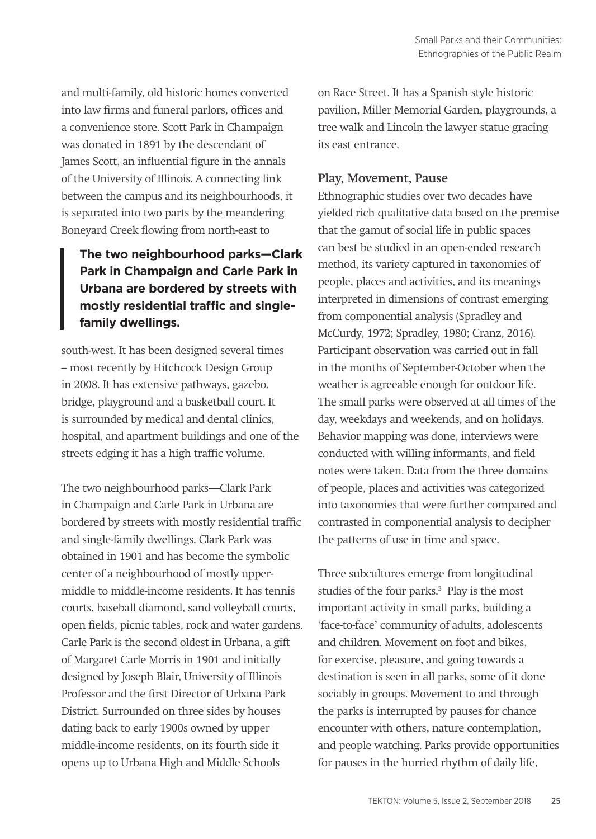and multi-family, old historic homes converted into law firms and funeral parlors, offices and a convenience store. Scott Park in Champaign was donated in 1891 by the descendant of James Scott, an influential figure in the annals of the University of Illinois. A connecting link between the campus and its neighbourhoods, it is separated into two parts by the meandering Boneyard Creek flowing from north-east to

### **The two neighbourhood parks—Clark Park in Champaign and Carle Park in Urbana are bordered by streets with mostly residential traffic and singlefamily dwellings.**

south-west. It has been designed several times – most recently by Hitchcock Design Group in 2008. It has extensive pathways, gazebo, bridge, playground and a basketball court. It is surrounded by medical and dental clinics, hospital, and apartment buildings and one of the streets edging it has a high traffic volume.

The two neighbourhood parks—Clark Park in Champaign and Carle Park in Urbana are bordered by streets with mostly residential traffic and single-family dwellings. Clark Park was obtained in 1901 and has become the symbolic center of a neighbourhood of mostly uppermiddle to middle-income residents. It has tennis courts, baseball diamond, sand volleyball courts, open fields, picnic tables, rock and water gardens. Carle Park is the second oldest in Urbana, a gift of Margaret Carle Morris in 1901 and initially designed by Joseph Blair, University of Illinois Professor and the first Director of Urbana Park District. Surrounded on three sides by houses dating back to early 1900s owned by upper middle-income residents, on its fourth side it opens up to Urbana High and Middle Schools

on Race Street. It has a Spanish style historic pavilion, Miller Memorial Garden, playgrounds, a tree walk and Lincoln the lawyer statue gracing its east entrance.

### **Play, Movement, Pause**

Ethnographic studies over two decades have yielded rich qualitative data based on the premise that the gamut of social life in public spaces can best be studied in an open-ended research method, its variety captured in taxonomies of people, places and activities, and its meanings interpreted in dimensions of contrast emerging from componential analysis (Spradley and McCurdy, 1972; Spradley, 1980; Cranz, 2016). Participant observation was carried out in fall in the months of September-October when the weather is agreeable enough for outdoor life. The small parks were observed at all times of the day, weekdays and weekends, and on holidays. Behavior mapping was done, interviews were conducted with willing informants, and field notes were taken. Data from the three domains of people, places and activities was categorized into taxonomies that were further compared and contrasted in componential analysis to decipher the patterns of use in time and space.

Three subcultures emerge from longitudinal studies of the four parks.<sup>3</sup> Play is the most important activity in small parks, building a 'face-to-face' community of adults, adolescents and children. Movement on foot and bikes, for exercise, pleasure, and going towards a destination is seen in all parks, some of it done sociably in groups. Movement to and through the parks is interrupted by pauses for chance encounter with others, nature contemplation, and people watching. Parks provide opportunities for pauses in the hurried rhythm of daily life,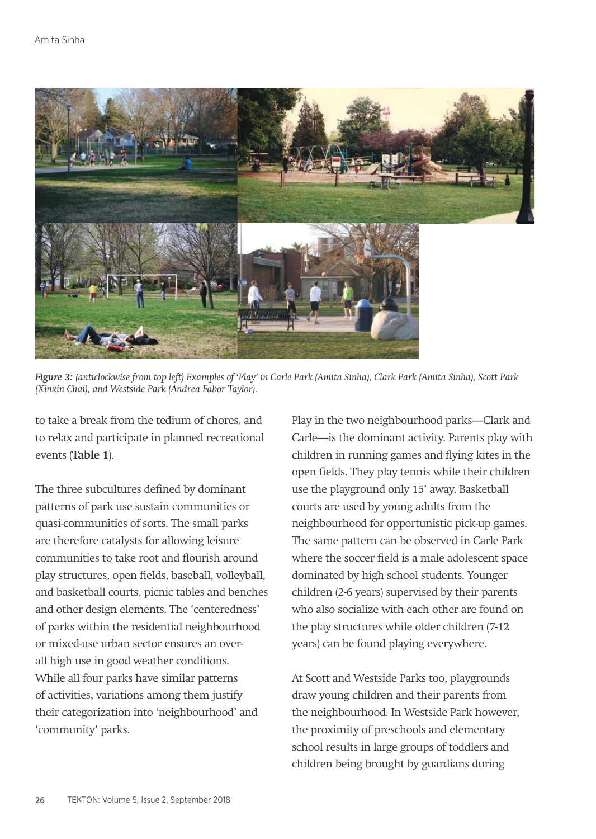

*Figure 3: (anticlockwise from top left) Examples of 'Play' in Carle Park (Amita Sinha), Clark Park (Amita Sinha), Scott Park (Xinxin Chai), and Westside Park (Andrea Fabor Taylor).*

to take a break from the tedium of chores, and to relax and participate in planned recreational events (**Table 1**).

The three subcultures defined by dominant patterns of park use sustain communities or quasi-communities of sorts. The small parks are therefore catalysts for allowing leisure communities to take root and flourish around play structures, open fields, baseball, volleyball, and basketball courts, picnic tables and benches and other design elements. The 'centeredness' of parks within the residential neighbourhood or mixed-use urban sector ensures an overall high use in good weather conditions. While all four parks have similar patterns of activities, variations among them justify their categorization into 'neighbourhood' and 'community' parks.

Play in the two neighbourhood parks—Clark and Carle—is the dominant activity. Parents play with children in running games and flying kites in the open fields. They play tennis while their children use the playground only 15' away. Basketball courts are used by young adults from the neighbourhood for opportunistic pick-up games. The same pattern can be observed in Carle Park where the soccer field is a male adolescent space dominated by high school students. Younger children (2-6 years) supervised by their parents who also socialize with each other are found on the play structures while older children (7-12 years) can be found playing everywhere.

At Scott and Westside Parks too, playgrounds draw young children and their parents from the neighbourhood. In Westside Park however, the proximity of preschools and elementary school results in large groups of toddlers and children being brought by guardians during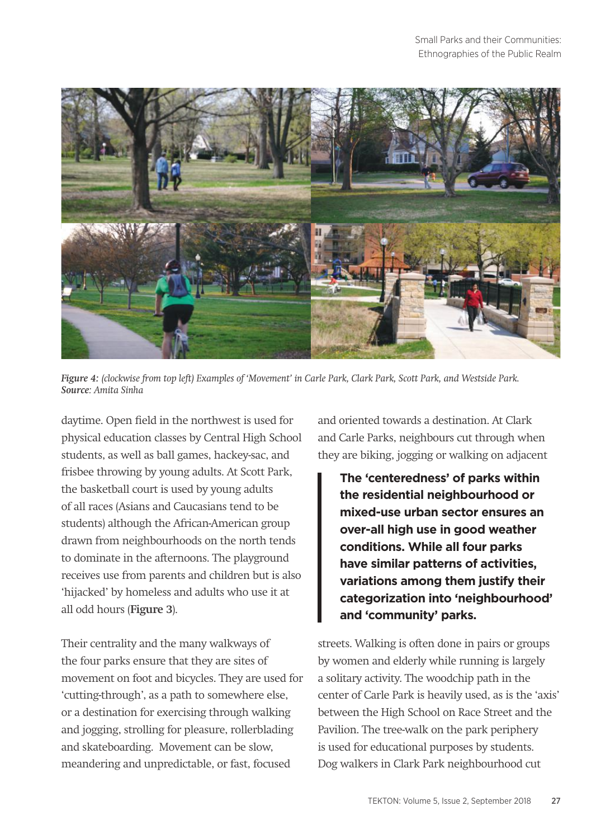

*Figure 4: (clockwise from top left) Examples of 'Movement' in Carle Park, Clark Park, Scott Park, and Westside Park. Source: Amita Sinha*

daytime. Open field in the northwest is used for physical education classes by Central High School students, as well as ball games, hackey-sac, and frisbee throwing by young adults. At Scott Park, the basketball court is used by young adults of all races (Asians and Caucasians tend to be students) although the African-American group drawn from neighbourhoods on the north tends to dominate in the afternoons. The playground receives use from parents and children but is also 'hijacked' by homeless and adults who use it at all odd hours (**Figure 3**).

Their centrality and the many walkways of the four parks ensure that they are sites of movement on foot and bicycles. They are used for 'cutting-through', as a path to somewhere else, or a destination for exercising through walking and jogging, strolling for pleasure, rollerblading and skateboarding. Movement can be slow, meandering and unpredictable, or fast, focused

and oriented towards a destination. At Clark and Carle Parks, neighbours cut through when they are biking, jogging or walking on adjacent

**The 'centeredness' of parks within the residential neighbourhood or mixed-use urban sector ensures an over-all high use in good weather conditions. While all four parks have similar patterns of activities, variations among them justify their categorization into 'neighbourhood' and 'community' parks.** 

streets. Walking is often done in pairs or groups by women and elderly while running is largely a solitary activity. The woodchip path in the center of Carle Park is heavily used, as is the 'axis' between the High School on Race Street and the Pavilion. The tree-walk on the park periphery is used for educational purposes by students. Dog walkers in Clark Park neighbourhood cut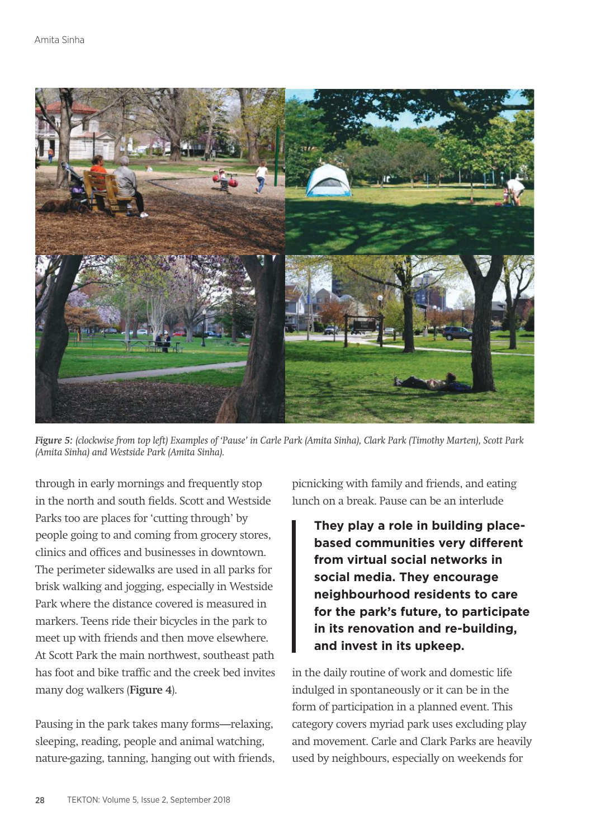

*Figure 5: (clockwise from top left) Examples of 'Pause' in Carle Park (Amita Sinha), Clark Park (Timothy Marten), Scott Park (Amita Sinha) and Westside Park (Amita Sinha).* 

through in early mornings and frequently stop in the north and south fields. Scott and Westside Parks too are places for 'cutting through' by people going to and coming from grocery stores, clinics and offices and businesses in downtown. The perimeter sidewalks are used in all parks for brisk walking and jogging, especially in Westside Park where the distance covered is measured in markers. Teens ride their bicycles in the park to meet up with friends and then move elsewhere. At Scott Park the main northwest, southeast path has foot and bike traffic and the creek bed invites many dog walkers (**Figure 4**).

Pausing in the park takes many forms—relaxing, sleeping, reading, people and animal watching, nature-gazing, tanning, hanging out with friends, picnicking with family and friends, and eating lunch on a break. Pause can be an interlude

**They play a role in building placebased communities very different from virtual social networks in social media. They encourage neighbourhood residents to care for the park's future, to participate in its renovation and re-building, and invest in its upkeep.**

in the daily routine of work and domestic life indulged in spontaneously or it can be in the form of participation in a planned event. This category covers myriad park uses excluding play and movement. Carle and Clark Parks are heavily used by neighbours, especially on weekends for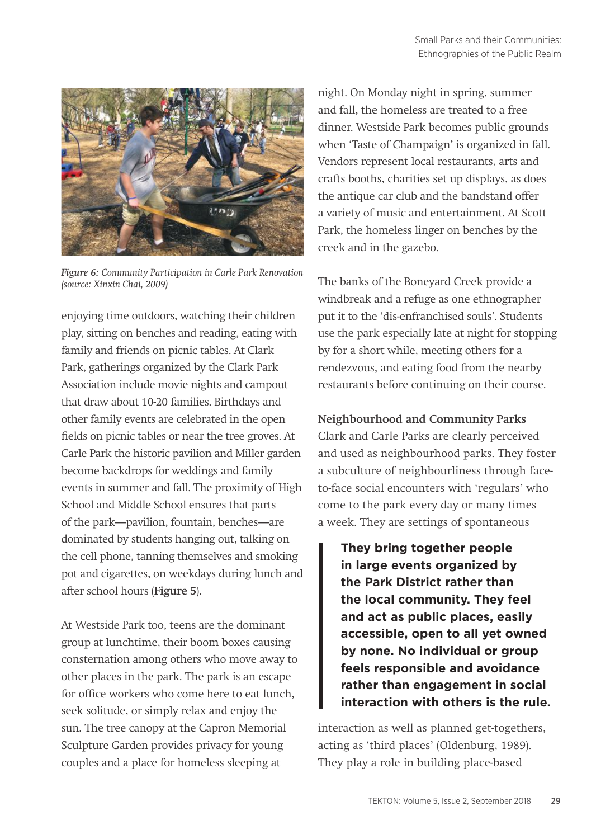

*Figure 6: Community Participation in Carle Park Renovation (source: Xinxin Chai, 2009)*

enjoying time outdoors, watching their children play, sitting on benches and reading, eating with family and friends on picnic tables. At Clark Park, gatherings organized by the Clark Park Association include movie nights and campout that draw about 10-20 families. Birthdays and other family events are celebrated in the open fields on picnic tables or near the tree groves. At Carle Park the historic pavilion and Miller garden become backdrops for weddings and family events in summer and fall. The proximity of High School and Middle School ensures that parts of the park—pavilion, fountain, benches—are dominated by students hanging out, talking on the cell phone, tanning themselves and smoking pot and cigarettes, on weekdays during lunch and after school hours (**Figure 5**).

At Westside Park too, teens are the dominant group at lunchtime, their boom boxes causing consternation among others who move away to other places in the park. The park is an escape for office workers who come here to eat lunch, seek solitude, or simply relax and enjoy the sun. The tree canopy at the Capron Memorial Sculpture Garden provides privacy for young couples and a place for homeless sleeping at

night. On Monday night in spring, summer and fall, the homeless are treated to a free dinner. Westside Park becomes public grounds when 'Taste of Champaign' is organized in fall. Vendors represent local restaurants, arts and crafts booths, charities set up displays, as does the antique car club and the bandstand offer a variety of music and entertainment. At Scott Park, the homeless linger on benches by the creek and in the gazebo.

The banks of the Boneyard Creek provide a windbreak and a refuge as one ethnographer put it to the 'dis-enfranchised souls'. Students use the park especially late at night for stopping by for a short while, meeting others for a rendezvous, and eating food from the nearby restaurants before continuing on their course.

**Neighbourhood and Community Parks** Clark and Carle Parks are clearly perceived and used as neighbourhood parks. They foster a subculture of neighbourliness through faceto-face social encounters with 'regulars' who come to the park every day or many times a week. They are settings of spontaneous

**They bring together people in large events organized by the Park District rather than the local community. They feel and act as public places, easily accessible, open to all yet owned by none. No individual or group feels responsible and avoidance rather than engagement in social interaction with others is the rule.**

interaction as well as planned get-togethers, acting as 'third places' (Oldenburg, 1989). They play a role in building place-based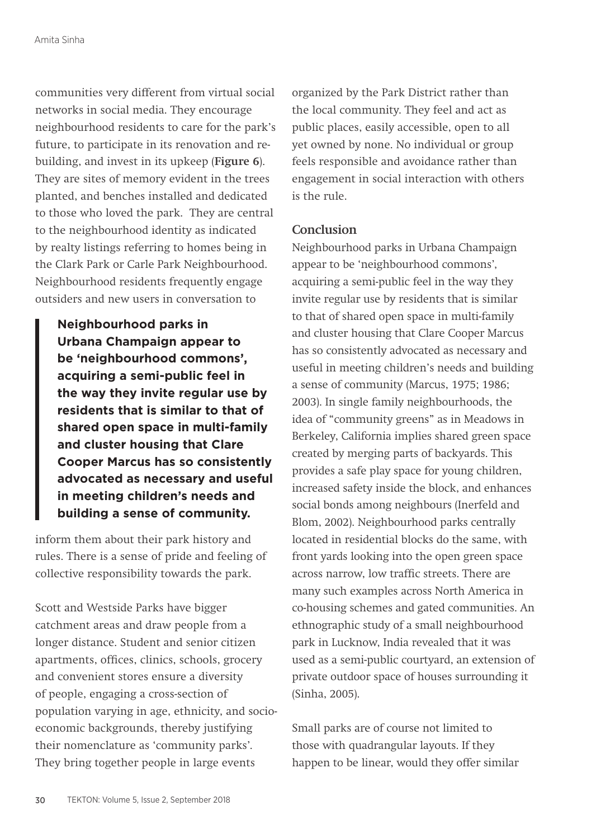communities very different from virtual social networks in social media. They encourage neighbourhood residents to care for the park's future, to participate in its renovation and rebuilding, and invest in its upkeep (**Figure 6**). They are sites of memory evident in the trees planted, and benches installed and dedicated to those who loved the park. They are central to the neighbourhood identity as indicated by realty listings referring to homes being in the Clark Park or Carle Park Neighbourhood. Neighbourhood residents frequently engage outsiders and new users in conversation to

**Neighbourhood parks in Urbana Champaign appear to be 'neighbourhood commons', acquiring a semi-public feel in the way they invite regular use by residents that is similar to that of shared open space in multi-family and cluster housing that Clare Cooper Marcus has so consistently advocated as necessary and useful in meeting children's needs and building a sense of community.**

inform them about their park history and rules. There is a sense of pride and feeling of collective responsibility towards the park.

Scott and Westside Parks have bigger catchment areas and draw people from a longer distance. Student and senior citizen apartments, offices, clinics, schools, grocery and convenient stores ensure a diversity of people, engaging a cross-section of population varying in age, ethnicity, and socioeconomic backgrounds, thereby justifying their nomenclature as 'community parks'. They bring together people in large events

organized by the Park District rather than the local community. They feel and act as public places, easily accessible, open to all yet owned by none. No individual or group feels responsible and avoidance rather than engagement in social interaction with others is the rule.

### **Conclusion**

Neighbourhood parks in Urbana Champaign appear to be 'neighbourhood commons', acquiring a semi-public feel in the way they invite regular use by residents that is similar to that of shared open space in multi-family and cluster housing that Clare Cooper Marcus has so consistently advocated as necessary and useful in meeting children's needs and building a sense of community (Marcus, 1975; 1986; 2003). In single family neighbourhoods, the idea of "community greens" as in Meadows in Berkeley, California implies shared green space created by merging parts of backyards. This provides a safe play space for young children, increased safety inside the block, and enhances social bonds among neighbours (Inerfeld and Blom, 2002). Neighbourhood parks centrally located in residential blocks do the same, with front yards looking into the open green space across narrow, low traffic streets. There are many such examples across North America in co-housing schemes and gated communities. An ethnographic study of a small neighbourhood park in Lucknow, India revealed that it was used as a semi-public courtyard, an extension of private outdoor space of houses surrounding it (Sinha, 2005).

Small parks are of course not limited to those with quadrangular layouts. If they happen to be linear, would they offer similar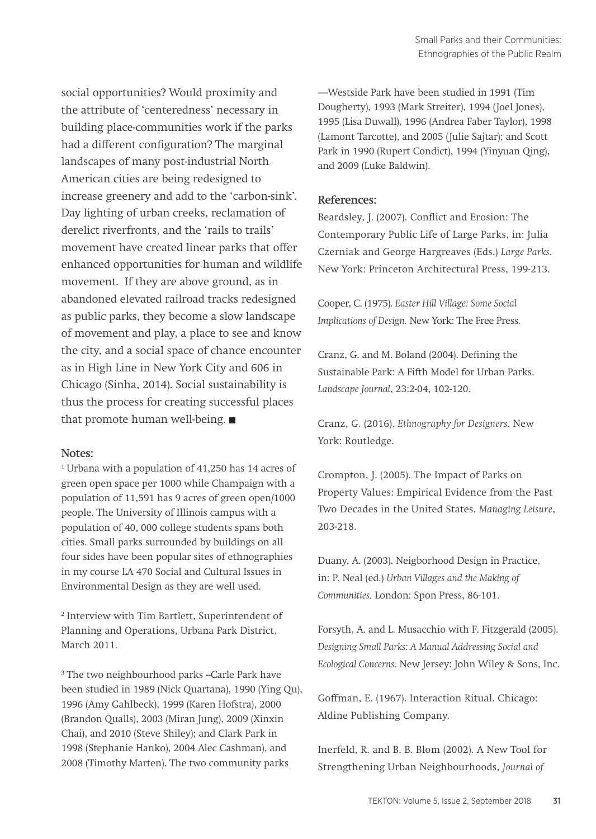social opportunities? Would proximity and the attribute of 'centeredness' necessary in building place-communities work if the parks had a different configuration? The marginal landscapes of many post-industrial North American cities are being redesigned to increase greenery and add to the 'carbon-sink'. Day lighting of urban creeks, reclamation of derelict riverfronts, and the 'rails to trails' movement have created linear parks that offer enhanced opportunities for human and wildlife movement. If they are above ground, as in abandoned elevated railroad tracks redesigned as public parks, they become a slow landscape of movement and play, a place to see and know the city, and a social space of chance encounter as in High Line in New York City and 606 in Chicago (Sinha, 2014). Social sustainability is thus the process for creating successful places that promote human well-being. ■

#### **Notes:**

1 Urbana with a population of 41,250 has 14 acres of green open space per 1000 while Champaign with a population of 11,591 has 9 acres of green open/1000 people. The University of Illinois campus with a population of 40, 000 college students spans both cities. Small parks surrounded by buildings on all four sides have been popular sites of ethnographies in my course LA 470 Social and Cultural Issues in Environmental Design as they are well used.

2 Interview with Tim Bartlett, Superintendent of Planning and Operations, Urbana Park District, March 2011.

<sup>3</sup> The two neighbourhood parks --Carle Park have been studied in 1989 (Nick Quartana), 1990 (Ying Qu), 1996 (Amy Gahlbeck), 1999 (Karen Hofstra), 2000 (Brandon Qualls), 2003 (Miran Jung), 2009 (Xinxin Chai), and 2010 (Steve Shiley); and Clark Park in 1998 (Stephanie Hanko), 2004 Alec Cashman), and 2008 (Timothy Marten). The two community parks

—Westside Park have been studied in 1991 (Tim Dougherty), 1993 (Mark Streiter), 1994 (Joel Jones), 1995 (Lisa Duwall), 1996 (Andrea Faber Taylor), 1998 (Lamont Tarcotte), and 2005 (Julie Sajtar); and Scott Park in 1990 (Rupert Condict), 1994 (Yinyuan Qing), and 2009 (Luke Baldwin).

#### **References:**

Beardsley, J. (2007). Conflict and Erosion: The Contemporary Public Life of Large Parks, in: Julia Czerniak and George Hargreaves (Eds.) *Large Parks*. New York: Princeton Architectural Press, 199-213.

Cooper, C. (1975). *Easter Hill Village: Some Social Implications of Design.* New York: The Free Press.

Cranz, G. and M. Boland (2004). Defining the Sustainable Park: A Fifth Model for Urban Parks. *Landscape Journal*, 23:2-04, 102-120.

Cranz, G. (2016). *Ethnography for Designers*. New York: Routledge.

Crompton, J. (2005). The Impact of Parks on Property Values: Empirical Evidence from the Past Two Decades in the United States. *Managing Leisure*, 203-218.

Duany, A. (2003). Neigborhood Design in Practice, in: P. Neal (ed.) *Urban Villages and the Making of Communities.* London: Spon Press, 86-101.

Forsyth, A. and L. Musacchio with F. Fitzgerald (2005). *Designing Small Parks: A Manual Addressing Social and Ecological Concerns*. New Jersey: John Wiley & Sons, Inc.

Goffman, E. (1967). Interaction Ritual. Chicago: Aldine Publishing Company.

Inerfeld, R. and B. B. Blom (2002). A New Tool for Strengthening Urban Neighbourhoods, *Journal of*